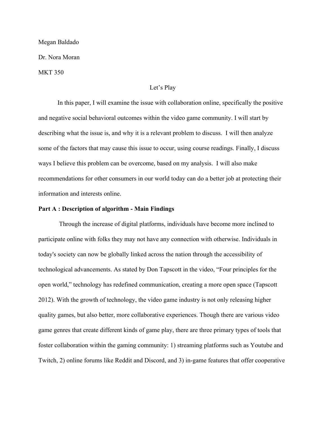#### Megan Baldado

Dr. Nora Moran

MKT 350

# Let's Play

In this paper, I will examine the issue with collaboration online, specifically the positive and negative social behavioral outcomes within the video game community. I will start by describing what the issue is, and why it is a relevant problem to discuss. I will then analyze some of the factors that may cause this issue to occur, using course readings. Finally, I discuss ways I believe this problem can be overcome, based on my analysis. I will also make recommendations for other consumers in our world today can do a better job at protecting their information and interests online.

### **Part A : Description of algorithm - Main Findings**

 Through the increase of digital platforms, individuals have become more inclined to participate online with folks they may not have any connection with otherwise. Individuals in today's society can now be globally linked across the nation through the accessibility of technological advancements. As stated by Don Tapscott in the video, "Four principles for the open world," technology has redefined communication, creating a more open space (Tapscott 2012). With the growth of technology, the video game industry is not only releasing higher quality games, but also better, more collaborative experiences. Though there are various video game genres that create different kinds of game play, there are three primary types of tools that foster collaboration within the gaming community: 1) streaming platforms such as Youtube and Twitch, 2) online forums like Reddit and Discord, and 3) in-game features that offer cooperative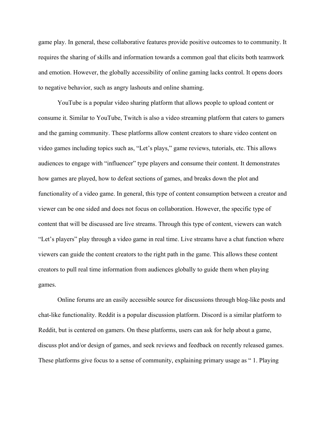game play. In general, these collaborative features provide positive outcomes to to community. It requires the sharing of skills and information towards a common goal that elicits both teamwork and emotion. However, the globally accessibility of online gaming lacks control. It opens doors to negative behavior, such as angry lashouts and online shaming.

YouTube is a popular video sharing platform that allows people to upload content or consume it. Similar to YouTube, Twitch is also a video streaming platform that caters to gamers and the gaming community. These platforms allow content creators to share video content on video games including topics such as, "Let's plays," game reviews, tutorials, etc. This allows audiences to engage with "influencer" type players and consume their content. It demonstrates how games are played, how to defeat sections of games, and breaks down the plot and functionality of a video game. In general, this type of content consumption between a creator and viewer can be one sided and does not focus on collaboration. However, the specific type of content that will be discussed are live streams. Through this type of content, viewers can watch "Let's players" play through a video game in real time. Live streams have a chat function where viewers can guide the content creators to the right path in the game. This allows these content creators to pull real time information from audiences globally to guide them when playing games.

Online forums are an easily accessible source for discussions through blog-like posts and chat-like functionality. Reddit is a popular discussion platform. Discord is a similar platform to Reddit, but is centered on gamers. On these platforms, users can ask for help about a game, discuss plot and/or design of games, and seek reviews and feedback on recently released games. These platforms give focus to a sense of community, explaining primary usage as " 1. Playing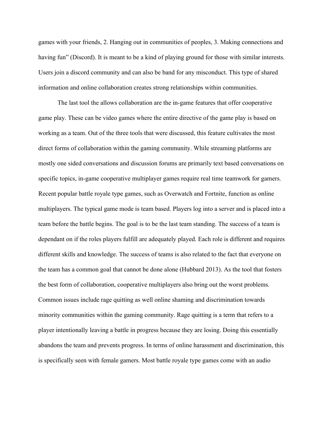games with your friends, 2. Hanging out in communities of peoples, 3. Making connections and having fun" (Discord). It is meant to be a kind of playing ground for those with similar interests. Users join a discord community and can also be band for any misconduct. This type of shared information and online collaboration creates strong relationships within communities.

The last tool the allows collaboration are the in-game features that offer cooperative game play. These can be video games where the entire directive of the game play is based on working as a team. Out of the three tools that were discussed, this feature cultivates the most direct forms of collaboration within the gaming community. While streaming platforms are mostly one sided conversations and discussion forums are primarily text based conversations on specific topics, in-game cooperative multiplayer games require real time teamwork for gamers. Recent popular battle royale type games, such as Overwatch and Fortnite, function as online multiplayers. The typical game mode is team based. Players log into a server and is placed into a team before the battle begins. The goal is to be the last team standing. The success of a team is dependant on if the roles players fulfill are adequately played. Each role is different and requires different skills and knowledge. The success of teams is also related to the fact that everyone on the team has a common goal that cannot be done alone (Hubbard 2013). As the tool that fosters the best form of collaboration, cooperative multiplayers also bring out the worst problems. Common issues include rage quitting as well online shaming and discrimination towards minority communities within the gaming community. Rage quitting is a term that refers to a player intentionally leaving a battle in progress because they are losing. Doing this essentially abandons the team and prevents progress. In terms of online harassment and discrimination, this is specifically seen with female gamers. Most battle royale type games come with an audio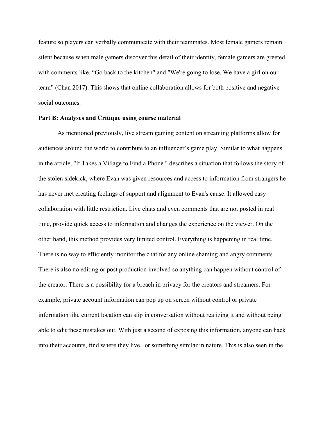feature so players can verbally communicate with their teammates. Most female gamers remain silent because when male gamers discover this detail of their identity, female gamers are greeted with comments like, "Go back to the kitchen" and "We're going to lose. We have a girl on our team" (Chan 2017). This shows that online collaboration allows for both positive and negative social outcomes.

## **Part B: Analyses and Critique using course material**

As mentioned previously, live stream gaming content on streaming platforms allow for audiences around the world to contribute to an influencer's game play. Similar to what happens in the article, "It Takes a Village to Find a Phone." describes a situation that follows the story of the stolen sidekick, where Evan was given resources and access to information from strangers he has never met creating feelings of support and alignment to Evan's cause. It allowed easy collaboration with little restriction. Live chats and even comments that are not posted in real time, provide quick access to information and changes the experience on the viewer. On the other hand, this method provides very limited control. Everything is happening in real time. There is no way to efficiently monitor the chat for any online shaming and angry comments. There is also no editing or post production involved so anything can happen without control of the creator. There is a possibility for a breach in privacy for the creators and streamers. For example, private account information can pop up on screen without control or private information like current location can slip in conversation without realizing it and without being able to edit these mistakes out. With just a second of exposing this information, anyone can hack into their accounts, find where they live, or something similar in nature. This is also seen in the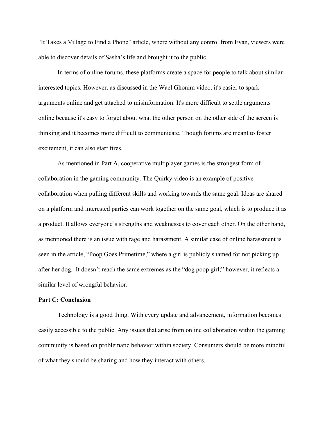"It Takes a Village to Find a Phone" article, where without any control from Evan, viewers were able to discover details of Sasha's life and brought it to the public.

In terms of online forums, these platforms create a space for people to talk about similar interested topics. However, as discussed in the Wael Ghonim video, it's easier to spark arguments online and get attached to misinformation. It's more difficult to settle arguments online because it's easy to forget about what the other person on the other side of the screen is thinking and it becomes more difficult to communicate. Though forums are meant to foster excitement, it can also start fires.

As mentioned in Part A, cooperative multiplayer games is the strongest form of collaboration in the gaming community. The Quirky video is an example of positive collaboration when pulling different skills and working towards the same goal. Ideas are shared on a platform and interested parties can work together on the same goal, which is to produce it as a product. It allows everyone's strengths and weaknesses to cover each other. On the other hand, as mentioned there is an issue with rage and harassment. A similar case of online harassment is seen in the article, "Poop Goes Primetime," where a girl is publicly shamed for not picking up after her dog. It doesn't reach the same extremes as the "dog poop girl;" however, it reflects a similar level of wrongful behavior.

### **Part C: Conclusion**

Technology is a good thing. With every update and advancement, information becomes easily accessible to the public. Any issues that arise from online collaboration within the gaming community is based on problematic behavior within society. Consumers should be more mindful of what they should be sharing and how they interact with others.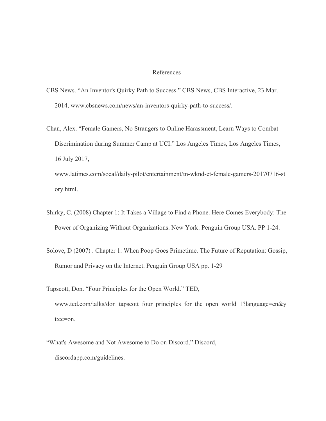#### References

- CBS News. "An Inventor's Quirky Path to Success." CBS News, CBS Interactive, 23 Mar. 2014, www.cbsnews.com/news/an-inventors-quirky-path-to-success/.
- Chan, Alex. "Female Gamers, No Strangers to Online Harassment, Learn Ways to Combat Discrimination during Summer Camp at UCI." Los Angeles Times, Los Angeles Times, 16 July 2017,

www.latimes.com/socal/daily-pilot/entertainment/tn-wknd-et-female-gamers-20170716-st ory.html.

- Shirky, C. (2008) Chapter 1: It Takes a Village to Find a Phone. Here Comes Everybody: The Power of Organizing Without Organizations. New York: Penguin Group USA. PP 1-24.
- Solove, D (2007) . Chapter 1: When Poop Goes Primetime. The Future of Reputation: Gossip, Rumor and Privacy on the Internet. Penguin Group USA pp. 1-29
- Tapscott, Don. "Four Principles for the Open World." TED, www.ted.com/talks/don\_tapscott\_four\_principles\_for\_the\_open\_world\_1?language=en&y t:cc=on.
- "What's Awesome and Not Awesome to Do on Discord." Discord, discordapp.com/guidelines.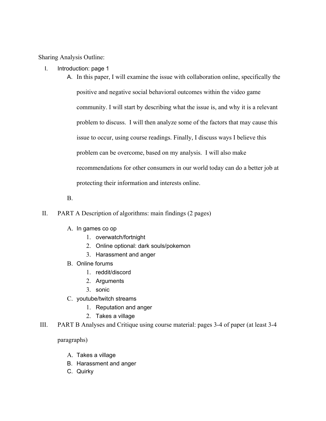Sharing Analysis Outline:

- I. Introduction: page 1
	- A. In this paper, I will examine the issue with collaboration online, specifically the positive and negative social behavioral outcomes within the video game community. I will start by describing what the issue is, and why it is a relevant problem to discuss. I will then analyze some of the factors that may cause this issue to occur, using course readings. Finally, I discuss ways I believe this problem can be overcome, based on my analysis. I will also make recommendations for other consumers in our world today can do a better job at protecting their information and interests online.
	- B.
- II. PART A Description of algorithms: main findings (2 pages)
	- A. In games co op
		- 1. overwatch/fortnight
		- 2. Online optional: dark souls/pokemon
		- 3. Harassment and anger
	- B. Online forums
		- 1. reddit/discord
		- 2. Arguments
		- 3. sonic
	- C. youtube/twitch streams
		- 1. Reputation and anger
		- 2. Takes a village
- III. PART B Analyses and Critique using course material: pages 3-4 of paper (at least 3-4

paragraphs)

- A. Takes a village
- B. Harassment and anger
- C. Quirky